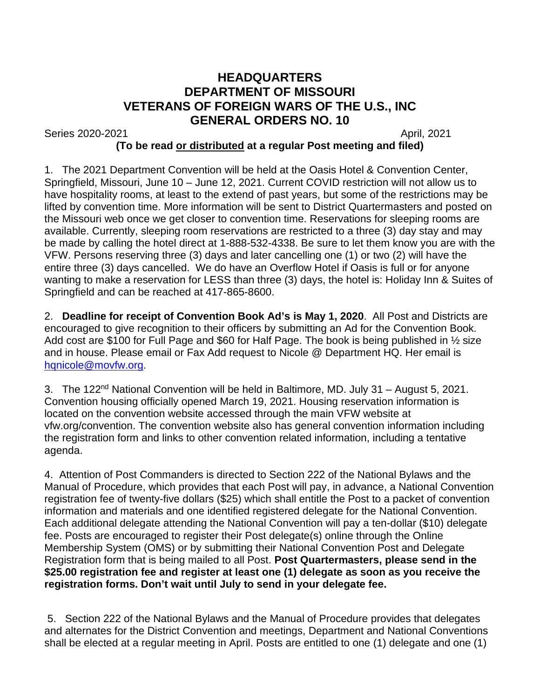## **HEADQUARTERS DEPARTMENT OF MISSOURI VETERANS OF FOREIGN WARS OF THE U.S., INC GENERAL ORDERS NO. 10**

Series 2020-2021 April, 2021

## **(To be read or distributed at a regular Post meeting and filed)**

1. The 2021 Department Convention will be held at the Oasis Hotel & Convention Center, Springfield, Missouri, June 10 – June 12, 2021. Current COVID restriction will not allow us to have hospitality rooms, at least to the extend of past years, but some of the restrictions may be lifted by convention time. More information will be sent to District Quartermasters and posted on the Missouri web once we get closer to convention time. Reservations for sleeping rooms are available. Currently, sleeping room reservations are restricted to a three (3) day stay and may be made by calling the hotel direct at 1-888-532-4338. Be sure to let them know you are with the VFW. Persons reserving three (3) days and later cancelling one (1) or two (2) will have the entire three (3) days cancelled. We do have an Overflow Hotel if Oasis is full or for anyone wanting to make a reservation for LESS than three (3) days, the hotel is: Holiday Inn & Suites of Springfield and can be reached at 417-865-8600.

2. **Deadline for receipt of Convention Book Ad's is May 1, 2020**. All Post and Districts are encouraged to give recognition to their officers by submitting an Ad for the Convention Book. Add cost are \$100 for Full Page and \$60 for Half Page. The book is being published in ½ size and in house. Please email or Fax Add request to Nicole @ Department HQ. Her email is hanicole@movfw.org.

3. The 122<sup>nd</sup> National Convention will be held in Baltimore, MD. July 31 – August 5, 2021. Convention housing officially opened March 19, 2021. Housing reservation information is located on the convention website accessed through the main VFW website at vfw.org/convention. The convention website also has general convention information including the registration form and links to other convention related information, including a tentative agenda.

4. Attention of Post Commanders is directed to Section 222 of the National Bylaws and the Manual of Procedure, which provides that each Post will pay, in advance, a National Convention registration fee of twenty-five dollars (\$25) which shall entitle the Post to a packet of convention information and materials and one identified registered delegate for the National Convention. Each additional delegate attending the National Convention will pay a ten-dollar (\$10) delegate fee. Posts are encouraged to register their Post delegate(s) online through the Online Membership System (OMS) or by submitting their National Convention Post and Delegate Registration form that is being mailed to all Post. **Post Quartermasters, please send in the \$25.00 registration fee and register at least one (1) delegate as soon as you receive the registration forms. Don't wait until July to send in your delegate fee.**

5. Section 222 of the National Bylaws and the Manual of Procedure provides that delegates and alternates for the District Convention and meetings, Department and National Conventions shall be elected at a regular meeting in April. Posts are entitled to one (1) delegate and one (1)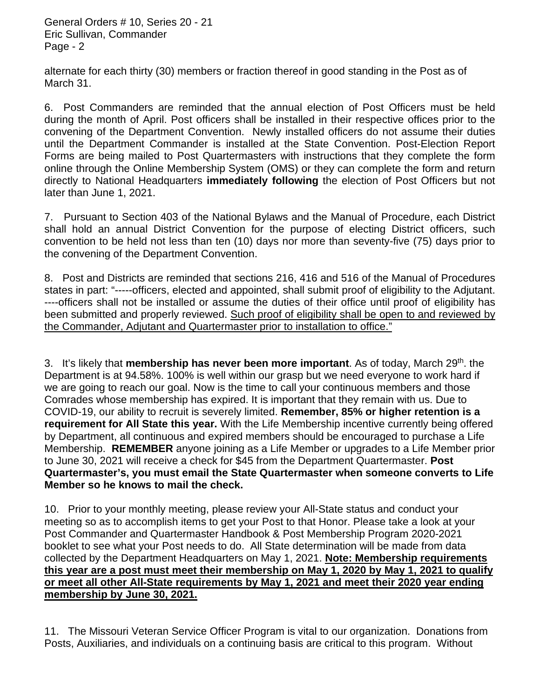General Orders # 10, Series 20 - 21 Eric Sullivan, Commander Page - 2

alternate for each thirty (30) members or fraction thereof in good standing in the Post as of March 31.

6. Post Commanders are reminded that the annual election of Post Officers must be held during the month of April. Post officers shall be installed in their respective offices prior to the convening of the Department Convention. Newly installed officers do not assume their duties until the Department Commander is installed at the State Convention. Post-Election Report Forms are being mailed to Post Quartermasters with instructions that they complete the form online through the Online Membership System (OMS) or they can complete the form and return directly to National Headquarters **immediately following** the election of Post Officers but not later than June 1, 2021.

7. Pursuant to Section 403 of the National Bylaws and the Manual of Procedure, each District shall hold an annual District Convention for the purpose of electing District officers, such convention to be held not less than ten (10) days nor more than seventy-five (75) days prior to the convening of the Department Convention.

8. Post and Districts are reminded that sections 216, 416 and 516 of the Manual of Procedures states in part: "-----officers, elected and appointed, shall submit proof of eligibility to the Adjutant. ----officers shall not be installed or assume the duties of their office until proof of eligibility has been submitted and properly reviewed. Such proof of eligibility shall be open to and reviewed by the Commander, Adjutant and Quartermaster prior to installation to office."

3. It's likely that **membership has never been more important**. As of today, March 29th. the Department is at 94.58%. 100% is well within our grasp but we need everyone to work hard if we are going to reach our goal. Now is the time to call your continuous members and those Comrades whose membership has expired. It is important that they remain with us. Due to COVID-19, our ability to recruit is severely limited. **Remember, 85% or higher retention is a requirement for All State this year.** With the Life Membership incentive currently being offered by Department, all continuous and expired members should be encouraged to purchase a Life Membership. **REMEMBER** anyone joining as a Life Member or upgrades to a Life Member prior to June 30, 2021 will receive a check for \$45 from the Department Quartermaster. **Post Quartermaster's, you must email the State Quartermaster when someone converts to Life Member so he knows to mail the check.**

10. Prior to your monthly meeting, please review your All-State status and conduct your meeting so as to accomplish items to get your Post to that Honor. Please take a look at your Post Commander and Quartermaster Handbook & Post Membership Program 2020-2021 booklet to see what your Post needs to do. All State determination will be made from data collected by the Department Headquarters on May 1, 2021. **Note: Membership requirements this year are a post must meet their membership on May 1, 2020 by May 1, 2021 to qualify or meet all other All-State requirements by May 1, 2021 and meet their 2020 year ending membership by June 30, 2021.**

11. The Missouri Veteran Service Officer Program is vital to our organization. Donations from Posts, Auxiliaries, and individuals on a continuing basis are critical to this program. Without